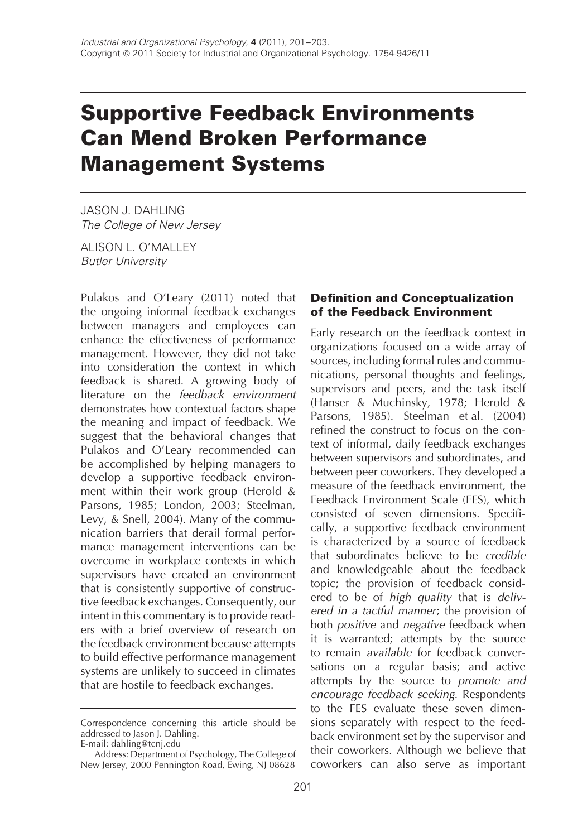# **Supportive Feedback Environments Can Mend Broken Performance Management Systems**

JASON J. DAHLING The College of New Jersey

ALISON L. O'MALLEY Butler University

Pulakos and O'Leary (2011) noted that the ongoing informal feedback exchanges between managers and employees can enhance the effectiveness of performance management. However, they did not take into consideration the context in which feedback is shared. A growing body of literature on the feedback environment demonstrates how contextual factors shape the meaning and impact of feedback. We suggest that the behavioral changes that Pulakos and O'Leary recommended can be accomplished by helping managers to develop a supportive feedback environment within their work group (Herold & Parsons, 1985; London, 2003; Steelman, Levy, & Snell, 2004). Many of the communication barriers that derail formal performance management interventions can be overcome in workplace contexts in which supervisors have created an environment that is consistently supportive of constructive feedback exchanges. Consequently, our intent in this commentary is to provide readers with a brief overview of research on the feedback environment because attempts to build effective performance management systems are unlikely to succeed in climates that are hostile to feedback exchanges.

## **Definition and Conceptualization of the Feedback Environment**

Early research on the feedback context in organizations focused on a wide array of sources, including formal rules and communications, personal thoughts and feelings, supervisors and peers, and the task itself (Hanser & Muchinsky, 1978; Herold & Parsons, 1985). Steelman et al. (2004) refined the construct to focus on the context of informal, daily feedback exchanges between supervisors and subordinates, and between peer coworkers. They developed a measure of the feedback environment, the Feedback Environment Scale (FES), which consisted of seven dimensions. Specifically, a supportive feedback environment is characterized by a source of feedback that subordinates believe to be credible and knowledgeable about the feedback topic; the provision of feedback considered to be of high quality that is delivered in <sup>a</sup> tactful manner; the provision of both *positive* and *negative* feedback when it is warranted; attempts by the source to remain *available* for feedback conversations on a regular basis; and active attempts by the source to *promote and* encourage feedback seeking. Respondents to the FES evaluate these seven dimensions separately with respect to the feedback environment set by the supervisor and their coworkers. Although we believe that coworkers can also serve as important

Correspondence concerning this article should be addressed to Jason J. Dahling.

E-mail: dahling@tcnj.edu

Address: Department of Psychology, The College of New Jersey, 2000 Pennington Road, Ewing, NJ 08628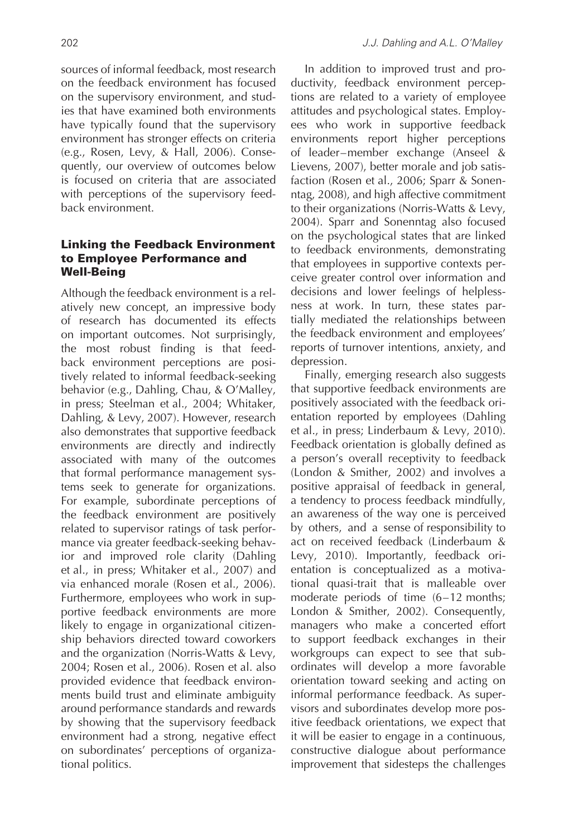sources of informal feedback, most research on the feedback environment has focused on the supervisory environment, and studies that have examined both environments have typically found that the supervisory environment has stronger effects on criteria (e.g., Rosen, Levy, & Hall, 2006). Consequently, our overview of outcomes below is focused on criteria that are associated with perceptions of the supervisory feedback environment.

## **Linking the Feedback Environment to Employee Performance and Well-Being**

Although the feedback environment is a relatively new concept, an impressive body of research has documented its effects on important outcomes. Not surprisingly, the most robust finding is that feedback environment perceptions are positively related to informal feedback-seeking behavior (e.g., Dahling, Chau, & O'Malley, in press; Steelman et al., 2004; Whitaker, Dahling, & Levy, 2007). However, research also demonstrates that supportive feedback environments are directly and indirectly associated with many of the outcomes that formal performance management systems seek to generate for organizations. For example, subordinate perceptions of the feedback environment are positively related to supervisor ratings of task performance via greater feedback-seeking behavior and improved role clarity (Dahling et al., in press; Whitaker et al., 2007) and via enhanced morale (Rosen et al., 2006). Furthermore, employees who work in supportive feedback environments are more likely to engage in organizational citizenship behaviors directed toward coworkers and the organization (Norris-Watts & Levy, 2004; Rosen et al., 2006). Rosen et al. also provided evidence that feedback environments build trust and eliminate ambiguity around performance standards and rewards by showing that the supervisory feedback environment had a strong, negative effect on subordinates' perceptions of organizational politics.

In addition to improved trust and productivity, feedback environment perceptions are related to a variety of employee attitudes and psychological states. Employees who work in supportive feedback environments report higher perceptions of leader–member exchange (Anseel & Lievens, 2007), better morale and job satisfaction (Rosen et al., 2006; Sparr & Sonenntag, 2008), and high affective commitment to their organizations (Norris-Watts & Levy, 2004). Sparr and Sonenntag also focused on the psychological states that are linked to feedback environments, demonstrating that employees in supportive contexts perceive greater control over information and decisions and lower feelings of helplessness at work. In turn, these states partially mediated the relationships between the feedback environment and employees' reports of turnover intentions, anxiety, and depression.

Finally, emerging research also suggests that supportive feedback environments are positively associated with the feedback orientation reported by employees (Dahling et al., in press; Linderbaum & Levy, 2010). Feedback orientation is globally defined as a person's overall receptivity to feedback (London & Smither, 2002) and involves a positive appraisal of feedback in general, a tendency to process feedback mindfully, an awareness of the way one is perceived by others, and a sense of responsibility to act on received feedback (Linderbaum & Levy, 2010). Importantly, feedback orientation is conceptualized as a motivational quasi-trait that is malleable over moderate periods of time (6–12 months; London & Smither, 2002). Consequently, managers who make a concerted effort to support feedback exchanges in their workgroups can expect to see that subordinates will develop a more favorable orientation toward seeking and acting on informal performance feedback. As supervisors and subordinates develop more positive feedback orientations, we expect that it will be easier to engage in a continuous, constructive dialogue about performance improvement that sidesteps the challenges